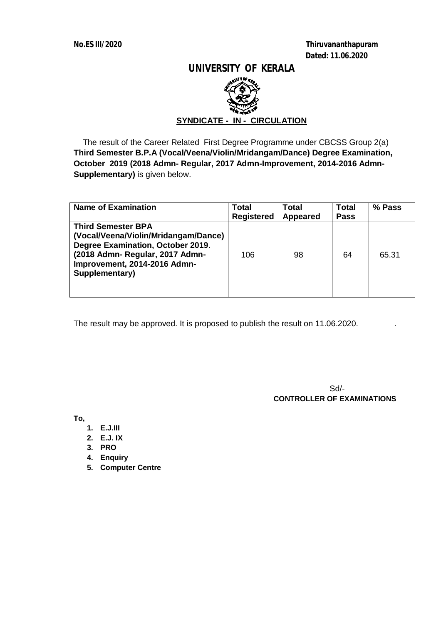**No.ES III/2020 Thiruvananthapuram Dated: 11.06.2020**

### **UNIVERSITY OF KERALA**



 The result of the Career Related First Degree Programme under CBCSS Group 2(a) **Third Semester B.P.A (Vocal/Veena/Violin/Mridangam/Dance) Degree Examination, October 2019 (2018 Admn- Regular, 2017 Admn-Improvement, 2014-2016 Admn-Supplementary)** is given below.

| <b>Name of Examination</b>                                                                                                                                                                 | <b>Total</b><br><b>Registered</b> | <b>Total</b><br><b>Appeared</b> | <b>Total</b><br><b>Pass</b> | % Pass |
|--------------------------------------------------------------------------------------------------------------------------------------------------------------------------------------------|-----------------------------------|---------------------------------|-----------------------------|--------|
| <b>Third Semester BPA</b><br>(Vocal/Veena/Violin/Mridangam/Dance)<br>Degree Examination, October 2019.<br>(2018 Admn-Regular, 2017 Admn-<br>Improvement, 2014-2016 Admn-<br>Supplementary) | 106                               | 98                              | 64                          | 65.31  |

The result may be approved. It is proposed to publish the result on 11.06.2020. .

Sd/-  **CONTROLLER OF EXAMINATIONS**

**To,**

- **1. E.J.III**
- **2. E.J. IX**
- **3. PRO**
- **4. Enquiry**
- **5. Computer Centre**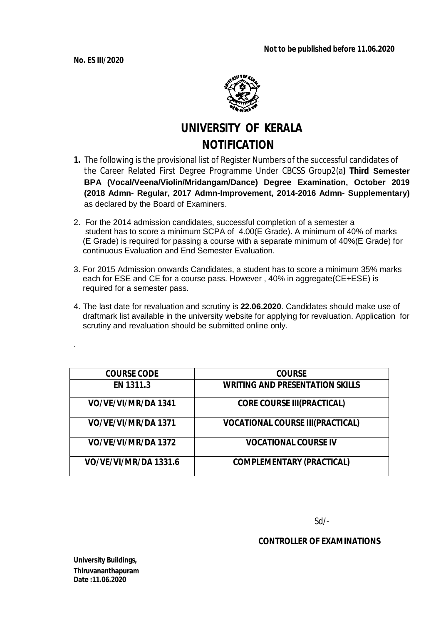

# **UNIVERSITY OF KERALA NOTIFICATION**

- **1.** The following is the provisional list of Register Numbers of the successful candidates of the Career Related First Degree Programme Under CBCSS Group2(a**) Third Semester BPA (Vocal/Veena/Violin/Mridangam/Dance) Degree Examination, October 2019 (2018 Admn- Regular, 2017 Admn-Improvement, 2014-2016 Admn- Supplementary)** as declared by the Board of Examiners.
- 2. For the 2014 admission candidates, successful completion of a semester a student has to score a minimum SCPA of 4.00(E Grade). A minimum of 40% of marks (E Grade) is required for passing a course with a separate minimum of 40%(E Grade) for continuous Evaluation and End Semester Evaluation.
- 3. For 2015 Admission onwards Candidates, a student has to score a minimum 35% marks each for ESE and CE for a course pass. However , 40% in aggregate(CE+ESE) is required for a semester pass.
- 4. The last date for revaluation and scrutiny is **22.06.2020**. Candidates should make use of draftmark list available in the university website for applying for revaluation. Application for scrutiny and revaluation should be submitted online only.

| <b>COURSE CODE</b>           | <b>COURSE</b>                           |
|------------------------------|-----------------------------------------|
| EN 1311.3                    | <b>WRITING AND PRESENTATION SKILLS</b>  |
| VO/VE/VI/MR/DA 1341          | <b>CORE COURSE III(PRACTICAL)</b>       |
| VO/VE/VI/MR/DA 1371          | <b>VOCATIONAL COURSE III(PRACTICAL)</b> |
| VO/VE/VI/MR/DA 1372          | <b>VOCATIONAL COURSE IV</b>             |
| <b>VO/VE/VI/MR/DA 1331.6</b> | <b>COMPLEMENTARY (PRACTICAL)</b>        |

Sd/-

## **CONTROLLER OF EXAMINATIONS**

**University Buildings, Thiruvananthapuram Date :11.06.2020** 

.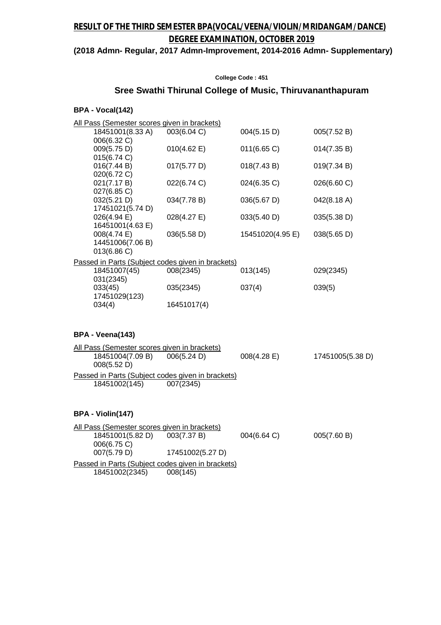# **RESULT OF THE THIRD SEMESTER BPA(VOCAL/VEENA/VIOLIN/MRIDANGAM/DANCE) DEGREE EXAMINATION, OCTOBER 2019**

**(2018 Admn- Regular, 2017 Admn-Improvement, 2014-2016 Admn- Supplementary)**

#### **College Code : 451**

#### **Sree Swathi Thirunal College of Music, Thiruvananthapuram**

#### **BPA - Vocal(142)**

| <u>All Pass (Semester scores given in brackets)</u> |             |                       |                       |  |
|-----------------------------------------------------|-------------|-----------------------|-----------------------|--|
| 18451001(8.33 A)                                    | 003(6.04 C) | 004(5.15 D)           | 005(7.52 B)           |  |
| 006(6.32 C)                                         |             |                       |                       |  |
| 009(5.75 D)                                         | 010(4.62 E) | 011(6.65 C)           | 014(7.35 B)           |  |
| 015(6.74 C)                                         |             |                       |                       |  |
| 016(7.44 B)                                         | 017(5.77 D) | 018(7.43 B)           | 019(7.34 B)           |  |
| 020(6.72 C)                                         |             |                       |                       |  |
| 021(7.17 B)                                         | 022(6.74 C) | 024(6.35 C)           | $026(6.60 \text{ C})$ |  |
| 027(6.85 C)                                         |             |                       |                       |  |
| 032(5.21 D)                                         | 034(7.78 B) | $036(5.67 \text{ D})$ | 042(8.18 A)           |  |
| 17451021(5.74 D)                                    |             |                       |                       |  |
| 026(4.94 E)                                         | 028(4.27 E) | 033(5.40 D)           | 035(5.38 D)           |  |
| 16451001(4.63 E)                                    |             |                       |                       |  |
| 008(4.74 E)                                         | 036(5.58 D) | 15451020(4.95 E)      | 038(5.65 D)           |  |
| 14451006(7.06 B)                                    |             |                       |                       |  |
| 013(6.86 C)                                         |             |                       |                       |  |
| Passed in Parts (Subject codes given in brackets)   |             |                       |                       |  |
| 18451007(45)                                        | 008(2345)   | 013(145)              | 029(2345)             |  |
| 031(2345)                                           |             |                       |                       |  |
| 033(45)                                             | 035(2345)   | 037(4)                | 039(5)                |  |
| 17451029(123)                                       |             |                       |                       |  |
| 034(4)                                              | 16451017(4) |                       |                       |  |
|                                                     |             |                       |                       |  |

#### **BPA - Veena(143)**

|                                                   |                  | All Pass (Semester scores given in brackets) |                |                  |
|---------------------------------------------------|------------------|----------------------------------------------|----------------|------------------|
|                                                   | 18451004(7.09 B) | 006(5.24 D)                                  | $008(4.28)$ E) | 17451005(5.38 D) |
|                                                   | 008(5.52 D)      |                                              |                |                  |
| Passed in Parts (Subject codes given in brackets) |                  |                                              |                |                  |
|                                                   | 18451002(145)    | 007(2345)                                    |                |                  |
|                                                   |                  |                                              |                |                  |

#### **BPA - Violin(147)**

| All Pass (Semester scores given in brackets)      |                  |                       |             |
|---------------------------------------------------|------------------|-----------------------|-------------|
| 18451001(5.82 D)                                  | 003(7.37 B)      | $004(6.64 \text{ C})$ | 005(7.60 B) |
| 006(6.75 C)                                       |                  |                       |             |
| 007(5.79 D)                                       | 17451002(5.27 D) |                       |             |
| Passed in Parts (Subject codes given in brackets) |                  |                       |             |
| 18451002(2345)                                    | 008(145)         |                       |             |
|                                                   |                  |                       |             |